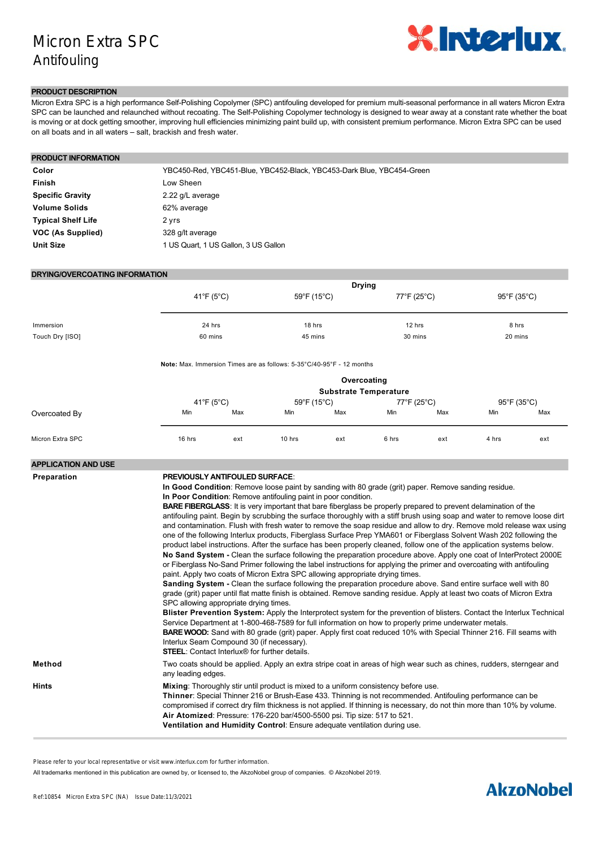# Micron Extra SPC Antifouling



## **PRODUCT DESCRIPTION**

Micron Extra SPC is a high performance Self-Polishing Copolymer (SPC) antifouling developed for premium multi-seasonal performance in all waters Micron Extra SPC can be launched and relaunched without recoating. The Self-Polishing Copolymer technology is designed to wear away at a constant rate whether the boat is moving or at dock getting smoother, improving hull efficiencies minimizing paint build up, with consistent premium performance. Micron Extra SPC can be used on all boats and in all waters – salt, brackish and fresh water.

| <b>PRODUCT INFORMATION</b> |                                                                       |
|----------------------------|-----------------------------------------------------------------------|
| Color                      | YBC450-Red, YBC451-Blue, YBC452-Black, YBC453-Dark Blue, YBC454-Green |
| Finish                     | Low Sheen                                                             |
| <b>Specific Gravity</b>    | 2.22 g/L average                                                      |
| <b>Volume Solids</b>       | 62% average                                                           |
| <b>Typical Shelf Life</b>  | 2 yrs                                                                 |
| VOC (As Supplied)          | 328 g/lt average                                                      |
| <b>Unit Size</b>           | 1 US Quart, 1 US Gallon, 3 US Gallon                                  |

## **DRYING/OVERCOATING INFORMATION**

|                 |            | <b>Drying</b> |             |                                  |
|-----------------|------------|---------------|-------------|----------------------------------|
|                 | 41°F (5°C) | 59°F (15°C)   | 77°F (25°C) | $95^{\circ}$ F (35 $^{\circ}$ C) |
|                 |            |               |             |                                  |
| Immersion       | 24 hrs     | 18 hrs        | 12 hrs      | 8 hrs                            |
| Touch Dry [ISO] | 60 mins    | 45 mins       | 30 mins     | 20 mins                          |

**Note:** Max. Immersion Times are as follows: 5-35°C/40-95°F - 12 months

|                  | Overcoating<br><b>Substrate Temperature</b> |     |             |     |             |     |             |     |
|------------------|---------------------------------------------|-----|-------------|-----|-------------|-----|-------------|-----|
|                  | 41°F (5°C)                                  |     | 59°F (15°C) |     | 77°F (25°C) |     | 95°F (35°C) |     |
| Overcoated By    | Min                                         | Max | Min         | Max | Min         | Max | Min         | Max |
| Micron Extra SPC | 16 hrs                                      | ext | 10 hrs      | ext | 6 hrs       | ext | 4 hrs       | ext |

| <b>APPLICATION AND USE</b> |                                                                                                                                                                                                                                                                                                                                                                                                                                                                                                                                                                                                                                                                                                                                                                                                                                                                                                                                                                                                                                                                                                                                                                                                                                                                                                                                                                                                                                                                                                                                                                                                                                                                                                                                                                                                                                                                                                                                              |
|----------------------------|----------------------------------------------------------------------------------------------------------------------------------------------------------------------------------------------------------------------------------------------------------------------------------------------------------------------------------------------------------------------------------------------------------------------------------------------------------------------------------------------------------------------------------------------------------------------------------------------------------------------------------------------------------------------------------------------------------------------------------------------------------------------------------------------------------------------------------------------------------------------------------------------------------------------------------------------------------------------------------------------------------------------------------------------------------------------------------------------------------------------------------------------------------------------------------------------------------------------------------------------------------------------------------------------------------------------------------------------------------------------------------------------------------------------------------------------------------------------------------------------------------------------------------------------------------------------------------------------------------------------------------------------------------------------------------------------------------------------------------------------------------------------------------------------------------------------------------------------------------------------------------------------------------------------------------------------|
| Preparation                | <b>PREVIOUSLY ANTIFOULED SURFACE:</b><br>In Good Condition: Remove loose paint by sanding with 80 grade (grit) paper. Remove sanding residue.<br>In Poor Condition: Remove antifouling paint in poor condition.<br><b>BARE FIBERGLASS:</b> It is very important that bare fiberglass be properly prepared to prevent delamination of the<br>antifouling paint. Begin by scrubbing the surface thoroughly with a stiff brush using soap and water to remove loose dirt<br>and contamination. Flush with fresh water to remove the soap residue and allow to dry. Remove mold release wax using<br>one of the following Interlux products, Fiberglass Surface Prep YMA601 or Fiberglass Solvent Wash 202 following the<br>product label instructions. After the surface has been properly cleaned, follow one of the application systems below.<br>No Sand System - Clean the surface following the preparation procedure above. Apply one coat of InterProtect 2000E<br>or Fiberglass No-Sand Primer following the label instructions for applying the primer and overcoating with antifouling<br>paint. Apply two coats of Micron Extra SPC allowing appropriate drying times.<br>Sanding System - Clean the surface following the preparation procedure above. Sand entire surface well with 80<br>grade (grit) paper until flat matte finish is obtained. Remove sanding residue. Apply at least two coats of Micron Extra<br>SPC allowing appropriate drying times.<br>Blister Prevention System: Apply the Interprotect system for the prevention of blisters. Contact the Interlux Technical<br>Service Department at 1-800-468-7589 for full information on how to properly prime underwater metals.<br><b>BARE WOOD:</b> Sand with 80 grade (grit) paper. Apply first coat reduced 10% with Special Thinner 216. Fill seams with<br>Interlux Seam Compound 30 (if necessary).<br><b>STEEL:</b> Contact Interlux® for further details. |
| Method                     | Two coats should be applied. Apply an extra stripe coat in areas of high wear such as chines, rudders, sterngear and<br>any leading edges.                                                                                                                                                                                                                                                                                                                                                                                                                                                                                                                                                                                                                                                                                                                                                                                                                                                                                                                                                                                                                                                                                                                                                                                                                                                                                                                                                                                                                                                                                                                                                                                                                                                                                                                                                                                                   |
| <b>Hints</b>               | Mixing: Thoroughly stir until product is mixed to a uniform consistency before use.<br>Thinner: Special Thinner 216 or Brush-Ease 433. Thinning is not recommended. Antifouling performance can be<br>compromised if correct dry film thickness is not applied. If thinning is necessary, do not thin more than 10% by volume.<br>Air Atomized: Pressure: 176-220 bar/4500-5500 psi. Tip size: 517 to 521.<br>Ventilation and Humidity Control: Ensure adequate ventilation during use.                                                                                                                                                                                                                                                                                                                                                                                                                                                                                                                                                                                                                                                                                                                                                                                                                                                                                                                                                                                                                                                                                                                                                                                                                                                                                                                                                                                                                                                      |

**Other**: For application of Micron Extra SPC to underwater metals such as stainless steel, cast iron, lead and bronze, see

Please refer to your local representative or visit www.interlux.com for further information.

**Some Important Points** To prevent premature failure, ensure correct amount of paint is applied using the coverage as a guide. Ambient All trademarks mentioned in this publication are owned by, or licensed to, the AkzoNobel group of companies. © AkzoNobel 2019.